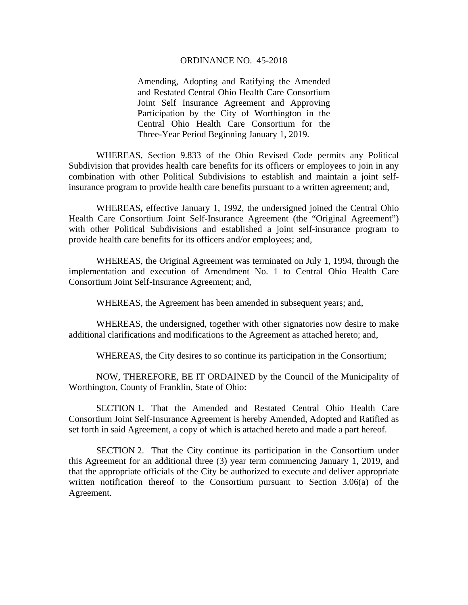## ORDINANCE NO. 45-2018

Amending, Adopting and Ratifying the Amended and Restated Central Ohio Health Care Consortium Joint Self Insurance Agreement and Approving Participation by the City of Worthington in the Central Ohio Health Care Consortium for the Three-Year Period Beginning January 1, 2019.

WHEREAS, Section 9.833 of the Ohio Revised Code permits any Political Subdivision that provides health care benefits for its officers or employees to join in any combination with other Political Subdivisions to establish and maintain a joint selfinsurance program to provide health care benefits pursuant to a written agreement; and,

 WHEREAS**,** effective January 1, 1992, the undersigned joined the Central Ohio Health Care Consortium Joint Self-Insurance Agreement (the "Original Agreement") with other Political Subdivisions and established a joint self-insurance program to provide health care benefits for its officers and/or employees; and,

 WHEREAS, the Original Agreement was terminated on July 1, 1994, through the implementation and execution of Amendment No. 1 to Central Ohio Health Care Consortium Joint Self-Insurance Agreement; and,

WHEREAS, the Agreement has been amended in subsequent years; and,

WHEREAS, the undersigned, together with other signatories now desire to make additional clarifications and modifications to the Agreement as attached hereto; and,

WHEREAS, the City desires to so continue its participation in the Consortium;

 NOW, THEREFORE, BE IT ORDAINED by the Council of the Municipality of Worthington, County of Franklin, State of Ohio:

 SECTION 1. That the Amended and Restated Central Ohio Health Care Consortium Joint Self-Insurance Agreement is hereby Amended, Adopted and Ratified as set forth in said Agreement, a copy of which is attached hereto and made a part hereof.

 SECTION 2. That the City continue its participation in the Consortium under this Agreement for an additional three (3) year term commencing January 1, 2019, and that the appropriate officials of the City be authorized to execute and deliver appropriate written notification thereof to the Consortium pursuant to Section 3.06(a) of the Agreement.